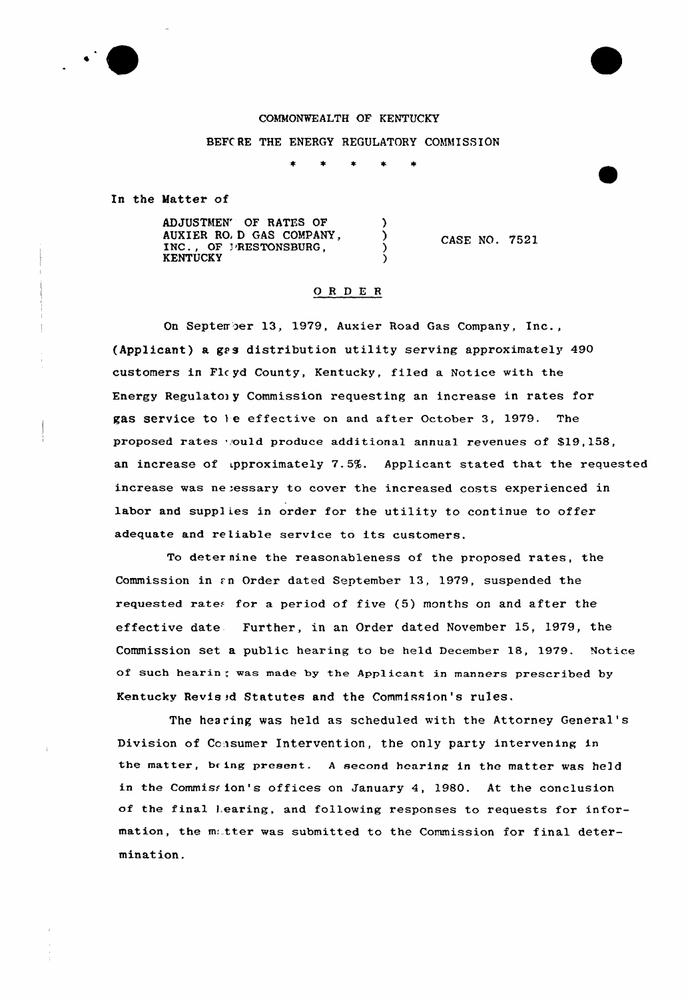

# COMMONWEALTH OF KENTUCKY

BEFCRE THE ENERGY REGULATORY COMMISSION

In the Matter of

ADJUSTMEN' OF RATES OF ) AUXIER RO) D GAS COMPANY,  $\lambda$ INC., OF PRESTONSBURG, **KENTUCKY** 

CASE NO. 7521

## O R D E R

On September 13, 1979, Auxier Road Gas Company, Inc., {Applicant) a gas distribution utility serving approximately 490 customers in Flc yd County, Kentucky, filed a Notice with the Energy Regulatory Commission requesting an increase in rates for gas service to le effective on and after October 3, 1979. The proposed rates would produce additional annual revenues of \$19,158, an increase of upproximately 7.5%. Applicant stated that the requested increase was neeessary to cover the increased costs experienced in labor and supplies in order for the utility to continue to offer adequate and reliab1e service to its customers.

To deter nine the reasonableness of the proposed rates, the Commission in  $\epsilon$ n Order dated September 13, 1979, suspended the requested rates for a period of five  $(5)$  months on and after the effective date Further, in an Order dated November 15, 1979, the Commission set a public hearing to be held December 18, 1979. Notice of such hearin: was made by the Applicant in manners prescribed by Kentucky Revised Statutes and the Commission's rules.

The hearing was held as scheduled with the Attorney General's Division of Consumer Intervention, the only party intervening in the matter, being present. A second hearing in the matter was held in the Commission's offices on January 4, 1980. At the conclusion of the final Learing, and following responses to requests for information, the matter was submitted to the Commission for final determination.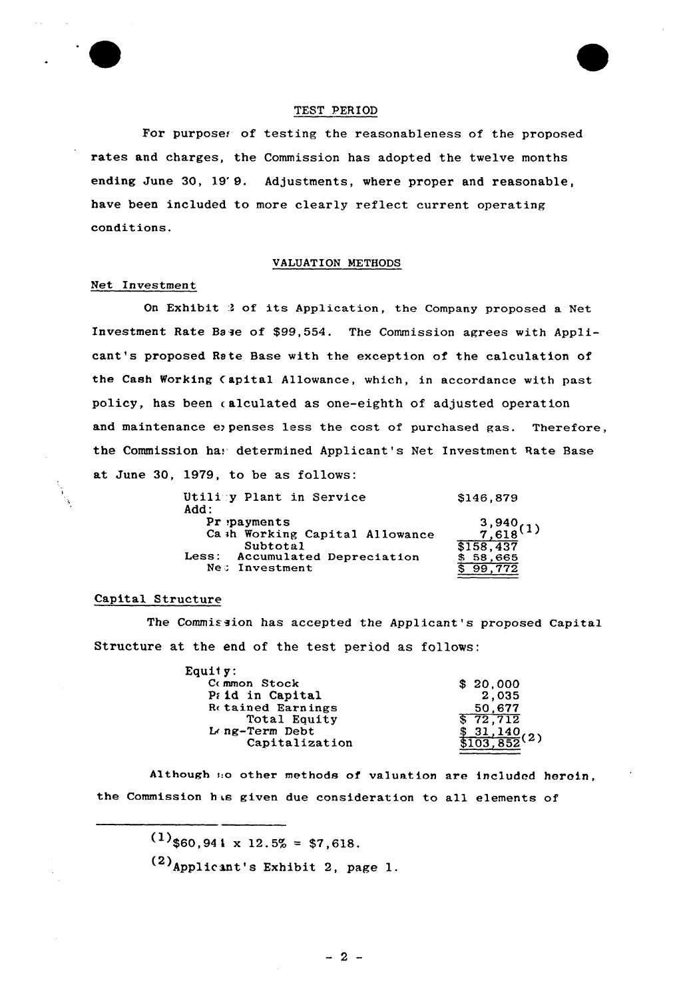

#### TEST PERIOD

For purposes of testing the reasonableness of the proposed rates and charges, the Commission has adopted the twelve months ending June 30, 19'9. Adjustments, where proper and reasonable, have been included to more clearly reflect current operating conditions.

#### VALUATION METHODS

### Net Investment

On Exhibit <sup>3</sup> of its Application, the Company proposed a Net Investment Rate Base of \$99,554. The Commission agrees with Applicant's proposed Rate Base with the exception of the calculation of the Cash Working (apital Allowance, which, in accordance with past policy, has been calculated as one-eighth of adjusted operation and maintenance eypenses less the cost of purchased gas. Therefore, the Commission has determined Applicant's Net Investment Rate Base at June 30, 1979, to be as follows:

| Utility Plant in Service<br>Add: | \$146,879                 |
|----------------------------------|---------------------------|
| $Pr$ : payments                  |                           |
| Ca ih Working Capital Allowance  | $\frac{3,940}{7,618}$ (1) |
| Subtotal                         | \$158,437                 |
| Less: Accumulated Depreciation   | 58,665                    |
| Ne: Investment                   |                           |
|                                  |                           |

### Capital Structure

The Commission has accepted the Applicant's proposed Capital Structure at the end of the test period as follows:

| Equity:                  |                             |
|--------------------------|-----------------------------|
| Common Stock             | \$20,000                    |
| Prid in Capital          | 2,035                       |
| <b>Retained Earnings</b> | 50.677                      |
| Total Equity             | $\sqrt{5}$ 72,712           |
| L ng-Term Debt           | $\frac{31,140}{103,852}(2)$ |
| Capitalization           |                             |
|                          |                             |

Although i.o other methods of valuation are included heroin, the Commission has given due consideration to all elements of

 $(1)$ \$60,941 x 12.5% = \$7,618.

 $(2)$ Applicant's Exhibit 2, page 1.

 $-2-$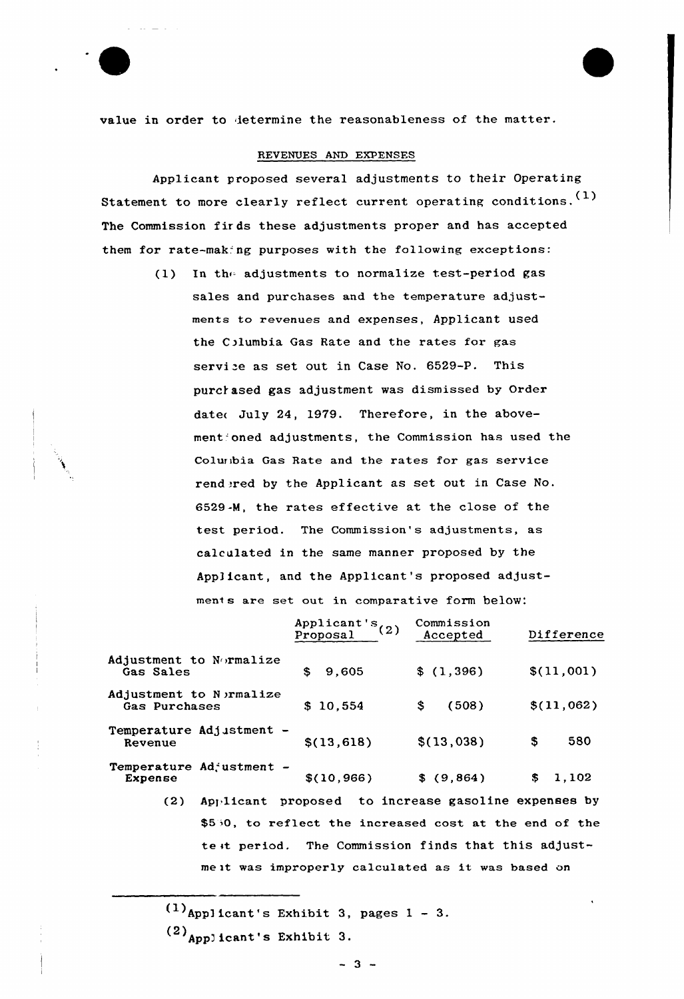value in order to ietermine the reasonableness of the matter.

## REVENUES AND EXPENSES

Applicant proposed several adjustments to their Operating Statement to more clearly reflect current operating conditions. (1) The Commission fir ds these adjustments proper and has accepted them for rate-making purposes with the following exceptions:

> (1) In the adjustments to normalize test-period gas sales and purchases and the temperature adjustments to revenues and expenses, Applicant used the Columbia Gas Rate and the rates for gas service as set out in Case No. 6529-P. This purchased gas adjustment was dismissed by Order date< July 24, 1979. Therefore, in the abovement'oned adjustments, the Commission has used the Columbia Gas Rate and the rates for gas service rend ered by the Applicant as set out in Case No. 6529-M, the rates effective at the close of the test period. The Commission's adjustments, as calculated in the same manner proposed by the Applicant, and the Applicant's proposed adjustment s are set out in comparative form below:

|                                           | Applicant's $(2)$<br>Proposal | Commission<br>Accepted                                 | Difference |
|-------------------------------------------|-------------------------------|--------------------------------------------------------|------------|
| Adjustment to Normalize<br>Gas Sales      | \$<br>9,605                   | \$(1,396)                                              | \$(11,001) |
| Adjustment to N ermalize<br>Gas Purchases | \$10,554                      | (508)<br>\$.                                           | \$(11,062) |
| Temperature Adjustment -<br>Revenue       | \$(13, 618)                   | \$(13,038)                                             | 580<br>\$  |
| Temperature Adjustment -<br>Expense       | \$(10, 966)                   | \$ (9,864)                                             | \$1,102    |
| (2)                                       |                               | Applicant proposed to increase gasoline expenses by    |            |
|                                           |                               | \$550, to reflect the increased cost at the end of the |            |
|                                           |                               | test period. The Commission finds that this adjust-    |            |

me it was improperly calculated as it was based on

 $(1)$  Appl icant's Exhibit 3, pages  $1 - 3$ .

 $(2)$  Applicant's Exhibit 3.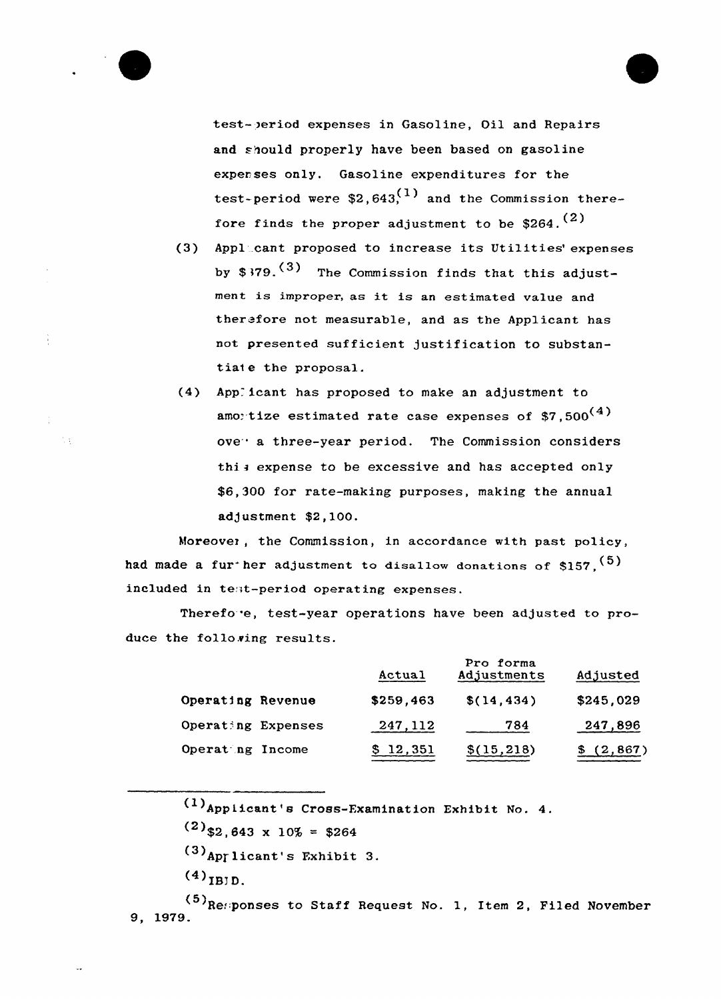test- )eriod expenses in Gasoline, Oil and Repairs and should properly have been based on gasoline expenses only. Gasoline expenditures for the test-period were  $$2,643<sup>(1)</sup>$  and the Commission therefore finds the proper adjustment to be  $$264.$ <sup>(2)</sup>

- (3) Applicant proposed to increase its Utilities' expenses by  $$379.$ <sup>(3)</sup> The Commission finds that this adjustment is improper, as it is an estimated value and ther fore not measurable, and as the Applicant has not presented sufficient justification to substantiate the proposal.
- (4) Applicant has proposed to make an adjustment to amo: tize estimated rate case expenses of  $$7,500^{(4)}$ ove<sup>.</sup> a three-year period. The Commission considers this expense to be excessive and has accepted only \$6,300 for rate-making purposes, making the annual adjustment \$2,100.

Moreover, the Commission, in accordance with past policy, had made a fur her adjustment to disallow donations of \$157,  $(5)$ included in test-period operating expenses.

Therefo'e, test-year operations have been adjusted to produce the following results.

|                    | Actual    | Pro forma<br>Adjustments | Adjusted  |
|--------------------|-----------|--------------------------|-----------|
| Operating Revenue  | \$259,463 | \$(14, 434)              | \$245,029 |
| Operating Expenses | 247, 112  | 784                      | 247,896   |
| Operating Income   | \$12,351  | \$(15,218)               | (2, 867)  |

 $(1)$ Appiicant's Cross-Examination Exhibit No. 4.

- $(2)$ \$2,643 x 10% = \$264
- $(3)$ Applicant's Exhibit 3.
- $^{(4)}_{IBJD.}$

 $\mathbb{Q}$  i

 $(5)$ Responses to Staff Request No. 1, Item 2, Filed November 9, 1979.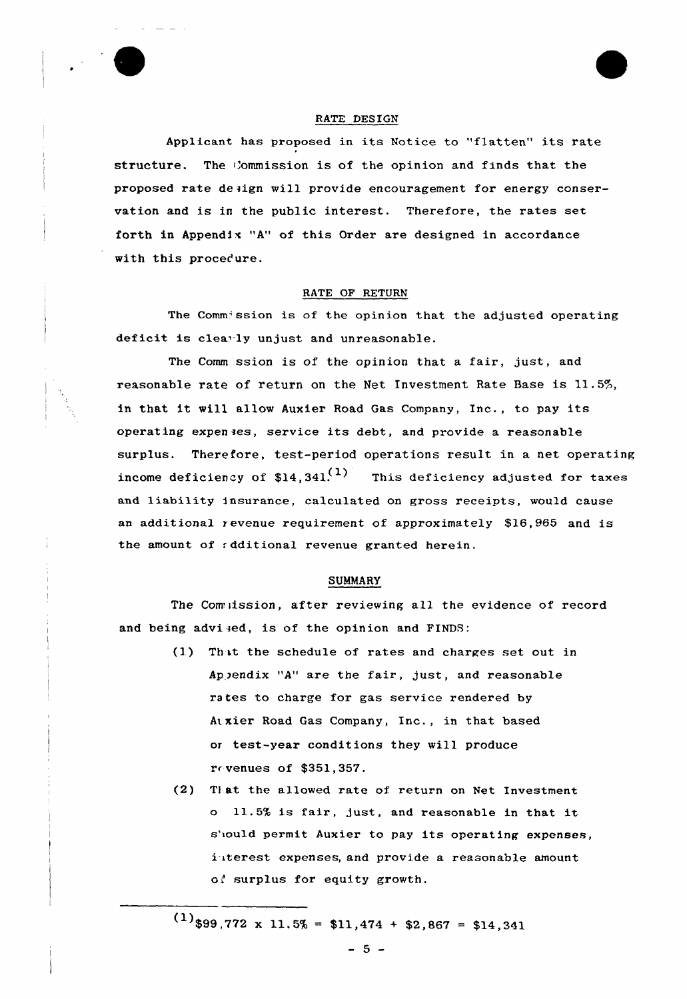# RATE DESIGN

Applicant has proposed in its Notice to "flatten" its rate structure. The Commission is of the opinion and finds that the proposed rate design will provide encouragement for energy conservation and is in the public interest. Therefore, the rates set forth in Appendix "A" of this Order are designed in accordance with this procedure.

#### RATE OF RETURN

The Commission is of the opinion that the adjusted operating deficit is clearly unjust and unreasonable.

The Comm ssion is of the opinion that a fair, just, and reasonable rate of return on the Net Investment Rate Base is  $11.5\%$ , in that it will allow Auxier Road Gas Company, Inc., to pay its operating expenses, service its debt, and provide <sup>a</sup> reasonable surplus. Therefore, test-period operations result in a net operating income deficiency of  $$14.341<sup>(1)</sup>$  This deficiency adjusted for taxes and liability insurance, calculated on gross receipts, would cause an additional revenue requirement of approximately \$16,965 and is the amount of *r*dditional revenue granted herein.

#### SUMMARY

The Comuission, after reviewing all the evidence of record and being advised, is of the opinion and FINDS:

- (1) Th it the schedule of rates and charges set out in Appendix "A" are the fair, just, and reasonable rates to charge for gas service rendered by Ai xier Road Gas Company, Inc., in that based or test-year conditions they will produce r< venues of \$351,357.
- (2) T1 at the allowed rate of return on Net Investment <sup>o</sup> 11.5% is fair, just, and reasonable in that it s'iould permit Auxier to pay its operating expenses, i iterest expenses, and provide a reasonable amount oi surplus for equity growth.

 $(1)$ \$99,772 x 11.5% = \$11,474 + \$2,867 = \$14,341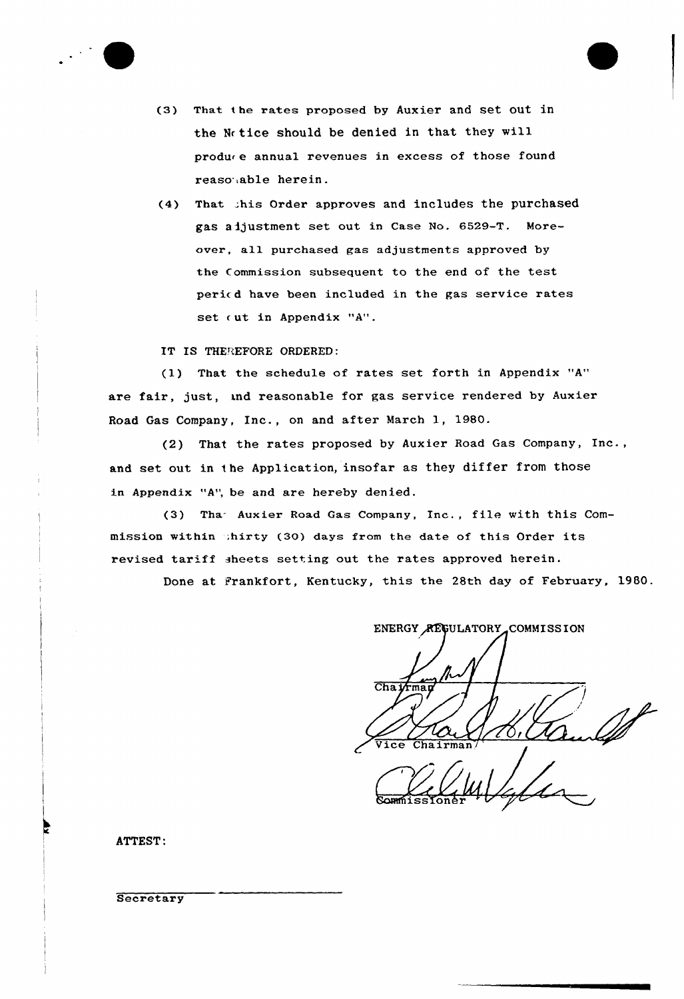

- (3) That i he rates proposed by Auxier and set out in the Nr tice should be denied in that they will produr e annual revenues in excess of those found reaso.able herein.
- (4) That .;his order approves and includes the purchased gas adjustment set out in Case No. 6529-T. Moreaver, a11 purchased gas adjustments approved by the Commission subsequent to the end of the test pericd have been included in the gas service rates set out in Appendix "A".

IT IS THEREFORE ORDERED:

(1) That the schedule of rates set forth in Appendix "A" are fair, just, and reasonable for gas service rendered by Auxier Road Gas Company, Inc., on and after March 1, 1980.

(2) That the rates proposed by Auxier Road Gas Company, Inc., and set out in the Application, insofar as they differ from those in Appendix "A", be and are hereby denied.

(3) Tha- Auxier Road Gas Company, Inc., file with this Commission within  $intry(30)$  days from the date of this Order its. revised tariff sheets setting out the rates approved herein.

Done at Frankfort, Kentucky, this the 28th day of February, 1980.

ENERGY REGULATORY COMMISSION Chairman  $\sqrt{ice}$ Chairman

80 Hydre 14  $\cancel{t}$ 

ATTEST:

**Secretary**